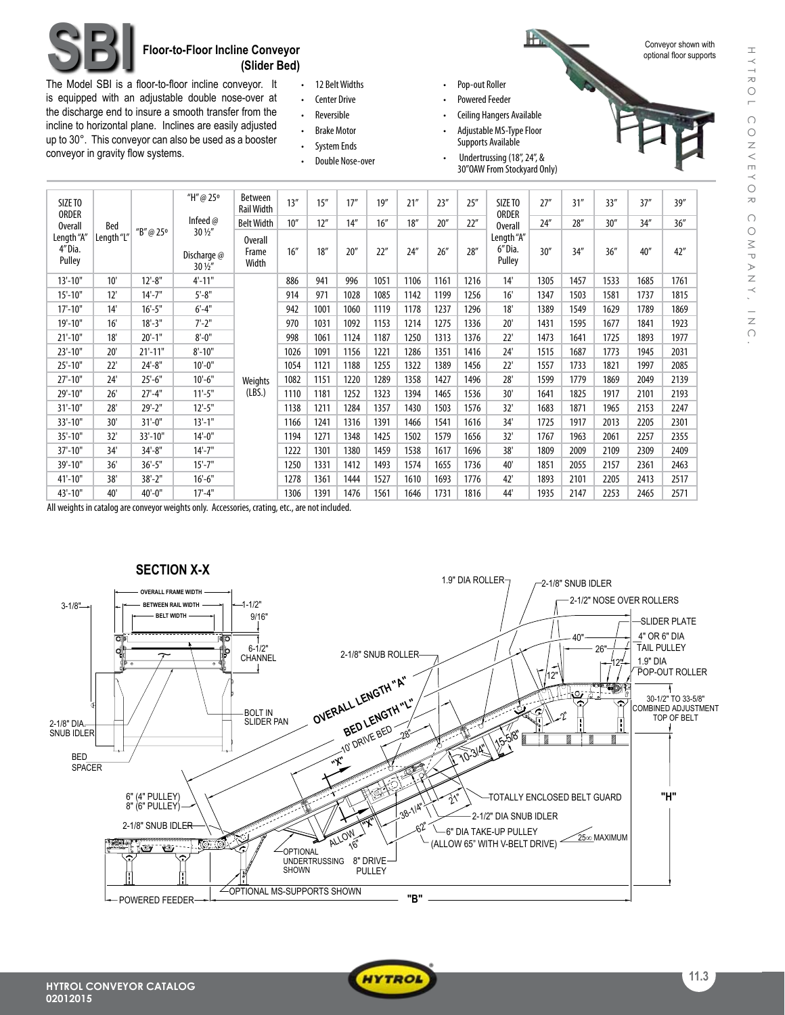

## **SBI Floor-to-Floor Incline Conveyor (Slider Bed)**

The Model SBI is a floor-to-floor incline conveyor. It is equipped with an adjustable double nose-over at the discharge end to insure a smooth transfer from the incline to horizontal plane. Inclines are easily adjusted up to 30°. This conveyor can also be used as a booster conveyor in gravity flow systems.

| 12 Belt Widths      |
|---------------------|
| <b>Center Drive</b> |
| Reversible          |
| <b>Brake Motor</b>  |

- • System Ends
- Double Nose-over
- Pop-out Roller
- Powered Feeder
- **Ceiling Hangers Available**
- Adjustable MS-Type Floor Supports Available
- Undertrussing (18", 24", & 30"OAWFrom Stockyard Only)



| SIZE TO<br>ORDER               |            | "H"@25°    | Between<br><b>Rail Width</b>              | 13''                             | 15'' | 17'' | 19'' | 21'' | 23'' | 25'' | SIZE TO<br><b>ORDER</b> | 27''                           | 31'' | 33'' | 37'' | 39'' |      |
|--------------------------------|------------|------------|-------------------------------------------|----------------------------------|------|------|------|------|------|------|-------------------------|--------------------------------|------|------|------|------|------|
| <b>Overall</b>                 | Bed        |            | Infeed $@$                                | <b>Belt Width</b>                | 10'' | 12'' | 14'' | 16'' | 18'' | 20'' | 22"                     | Overall                        | 24'' | 28'' | 30'' | 34'' | 36'' |
| Length "A"<br>4"Dia.<br>Pulley | Length "L" | "B"@25°    | 30 1/2"<br>Discharge @<br>$30\frac{1}{2}$ | <b>Overall</b><br>Frame<br>Width | 16'' | 18'' | 20'' | 22"  | 24'' | 26'' | 28''                    | Length "A"<br>6"Dia.<br>Pulley | 30'' | 34'' | 36'' | 40'' | 42'' |
| $13'-10"$                      | 10'        | $12'-8''$  | $4' - 11"$                                |                                  | 886  | 941  | 996  | 1051 | 1106 | 1161 | 1216                    | 14'                            | 1305 | 1457 | 1533 | 1685 | 1761 |
| $15'-10"$                      | 12'        | $14'-7$ "  | $5 - 8"$                                  |                                  | 914  | 971  | 1028 | 1085 | 1142 | 1199 | 1256                    | 16'                            | 1347 | 1503 | 1581 | 1737 | 1815 |
| $17' - 10''$                   | 14'        | $16'-5"$   | $6' - 4''$                                |                                  | 942  | 1001 | 1060 | 1119 | 1178 | 1237 | 1296                    | 18'                            | 1389 | 1549 | 1629 | 1789 | 1869 |
| 19'-10"                        | 16'        | $18 - 3"$  | $7 - 2"$                                  |                                  | 970  | 1031 | 1092 | 1153 | 1214 | 1275 | 1336                    | 20'                            | 1431 | 1595 | 1677 | 1841 | 1923 |
| $21'-10"$                      | 18'        | $20'-1$ "  | $8'-0''$                                  |                                  | 998  | 1061 | 1124 | 1187 | 1250 | 1313 | 1376                    | 22'                            | 1473 | 1641 | 1725 | 1893 | 1977 |
| $23'-10"$                      | 20'        | $21'-11"$  | $8' - 10''$                               |                                  | 1026 | 1091 | 1156 | 1221 | 1286 | 1351 | 1416                    | 24'                            | 1515 | 1687 | 1773 | 1945 | 2031 |
| $25' - 10''$                   | 22'        | $24'-8''$  | $10'-0$ "                                 |                                  | 1054 | 1121 | 1188 | 1255 | 1322 | 1389 | 1456                    | 22'                            | 1557 | 1733 | 1821 | 1997 | 2085 |
| $27' - 10''$                   | 24'        | $25'-6''$  | $10'-6$ "                                 | Weights                          | 1082 | 1151 | 1220 | 1289 | 1358 | 1427 | 1496                    | 28'                            | 1599 | 1779 | 1869 | 2049 | 2139 |
| 29'-10"                        | 26'        | $27'-4"$   | $11'-5$ "                                 | (LBS.)                           | 1110 | 1181 | 1252 | 1323 | 1394 | 1465 | 1536                    | 30'                            | 1641 | 1825 | 1917 | 2101 | 2193 |
| $31'-10"$                      | 28'        | $29' - 2"$ | $12'-5$ "                                 |                                  | 1138 | 1211 | 1284 | 1357 | 1430 | 1503 | 1576                    | 32'                            | 1683 | 1871 | 1965 | 2153 | 2247 |
| 33'-10"                        | 30'        | $31'-0$ "  | $13'-1$ "                                 |                                  | 1166 | 1241 | 1316 | 1391 | 1466 | 1541 | 1616                    | 34'                            | 1725 | 1917 | 2013 | 2205 | 2301 |
| 35'-10"                        | 32'        | 33'-10"    | $14'-0$ "                                 |                                  | 1194 | 1271 | 1348 | 1425 | 1502 | 1579 | 1656                    | 32'                            | 1767 | 1963 | 2061 | 2257 | 2355 |
| 37'-10"                        | 34'        | $34'-8''$  | $14'-7''$                                 |                                  | 1222 | 1301 | 1380 | 1459 | 1538 | 1617 | 1696                    | 38'                            | 1809 | 2009 | 2109 | 2309 | 2409 |
| 39'-10"                        | 36'        | $36'-5''$  | $15' - 7''$                               |                                  | 1250 | 1331 | 1412 | 1493 | 1574 | 1655 | 1736                    | 40'                            | 1851 | 2055 | 2157 | 2361 | 2463 |
| 41'-10"                        | 38'        | $38 - 2"$  | $16'-6''$                                 |                                  | 1278 | 1361 | 1444 | 1527 | 1610 | 1693 | 1776                    | 42'                            | 1893 | 2101 | 2205 | 2413 | 2517 |
| 43'-10"                        | 40'        | $40'-0$ "  | $17'-4"$                                  |                                  | 1306 | 1391 | 1476 | 1561 | 1646 | 1731 | 1816                    | 44'                            | 1935 | 2147 | 2253 | 2465 | 2571 |

All weights in catalog are conveyor weights only. Accessories, crating, etc., are not included.